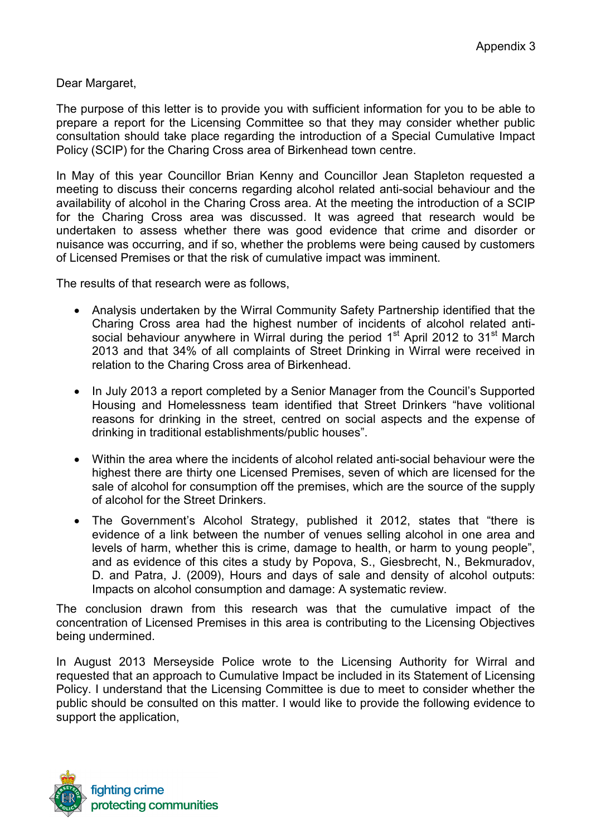Dear Margaret,

The purpose of this letter is to provide you with sufficient information for you to be able to prepare a report for the Licensing Committee so that they may consider whether public consultation should take place regarding the introduction of a Special Cumulative Impact Policy (SCIP) for the Charing Cross area of Birkenhead town centre.

In May of this year Councillor Brian Kenny and Councillor Jean Stapleton requested a meeting to discuss their concerns regarding alcohol related anti-social behaviour and the availability of alcohol in the Charing Cross area. At the meeting the introduction of a SCIP for the Charing Cross area was discussed. It was agreed that research would be undertaken to assess whether there was good evidence that crime and disorder or nuisance was occurring, and if so, whether the problems were being caused by customers of Licensed Premises or that the risk of cumulative impact was imminent.

The results of that research were as follows,

- Analysis undertaken by the Wirral Community Safety Partnership identified that the Charing Cross area had the highest number of incidents of alcohol related antisocial behaviour anywhere in Wirral during the period  $1<sup>st</sup>$  April 2012 to 31 $<sup>st</sup>$  March</sup> 2013 and that 34% of all complaints of Street Drinking in Wirral were received in relation to the Charing Cross area of Birkenhead.
- In July 2013 a report completed by a Senior Manager from the Council's Supported Housing and Homelessness team identified that Street Drinkers "have volitional reasons for drinking in the street, centred on social aspects and the expense of drinking in traditional establishments/public houses".
- Within the area where the incidents of alcohol related anti-social behaviour were the highest there are thirty one Licensed Premises, seven of which are licensed for the sale of alcohol for consumption off the premises, which are the source of the supply of alcohol for the Street Drinkers.
- The Government's Alcohol Strategy, published it 2012, states that "there is evidence of a link between the number of venues selling alcohol in one area and levels of harm, whether this is crime, damage to health, or harm to young people", and as evidence of this cites a study by Popova, S., Giesbrecht, N., Bekmuradov, D. and Patra, J. (2009), Hours and days of sale and density of alcohol outputs: Impacts on alcohol consumption and damage: A systematic review.

The conclusion drawn from this research was that the cumulative impact of the concentration of Licensed Premises in this area is contributing to the Licensing Objectives being undermined.

In August 2013 Merseyside Police wrote to the Licensing Authority for Wirral and requested that an approach to Cumulative Impact be included in its Statement of Licensing Policy. I understand that the Licensing Committee is due to meet to consider whether the public should be consulted on this matter. I would like to provide the following evidence to support the application,